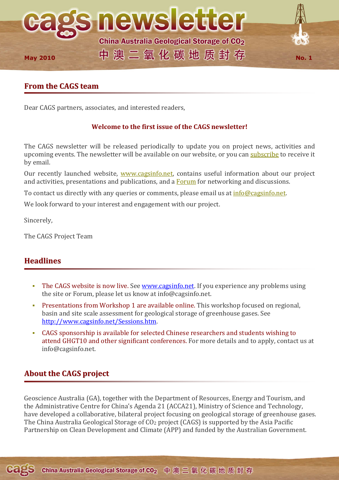

# **From the CAGS team**

Dear CAGS partners, associates, and interested readers,

## **Welcome to the first issue of the CAGS newsletter!**

The CAGS newsletter will be released periodically to update you on project news, activities and upcoming events. The newsletter will be available on our website, or you can subscribe to receive it by email.

Our recently launched website, www.cagsinfo.net, contains useful information about our project and activities, presentations and publications, and a **Forum** for networking and discussions.

To contact us directly with any queries or comments, please email us at *info@cagsinfo.net.* 

We look forward to your interest and engagement with our project.

Sincerely,

The CAGS Project Team

# **Headlines**

- The CAGS website is now live. See www.cagsinfo.net. If you experience any problems using the site or Forum, please let us know at info@cagsinfo.net.
- Presentations from Workshop 1 are available online. This workshop focused on regional, basin and site scale assessment for geological storage of greenhouse gases. See http://www.cagsinfo.net/Sessions.htm.
- CAGS sponsorship is available for selected Chinese researchers and students wishing to attend GHGT10 and other significant conferences. For more details and to apply, contact us at info@cagsinfo.net.

# **About the CAGS project**

Geoscience Australia (GA), together with the Department of Resources, Energy and Tourism, and the Administrative Centre for China's Agenda 21 (ACCA21), Ministry of Science and Technology, have developed a collaborative, bilateral project focusing on geological storage of greenhouse gases. The China Australia Geological Storage of CO<sub>2</sub> project (CAGS) is supported by the Asia Pacific Partnership on Clean Development and Climate (APP) and funded by the Australian Government.

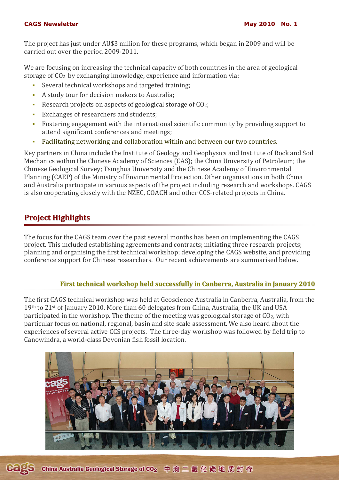#### **CAGS Newsletter May 2010 No. 1 May 2010 No. 1**

The project has just under AU\$3 million for these programs, which began in 2009 and will be carried out over the period 2009-2011.

We are focusing on increasing the technical capacity of both countries in the area of geological storage of  $CO<sub>2</sub>$  by exchanging knowledge, experience and information via:

- Several technical workshops and targeted training;
- A study tour for decision makers to Australia;
- Research projects on aspects of geological storage of  $CO<sub>2</sub>$ ;
- Exchanges of researchers and students;
- Fostering engagement with the international scientific community by providing support to attend significant conferences and meetings;
- Facilitating networking and collaboration within and between our two countries.

Key partners in China include the Institute of Geology and Geophysics and Institute of Rock and Soil Mechanics within the Chinese Academy of Sciences (CAS); the China University of Petroleum; the Chinese Geological Survey; Tsinghua University and the Chinese Academy of Environmental Planning (CAEP) of the Ministry of Environmental Protection. Other organisations in both China and Australia participate in various aspects of the project including research and workshops. CAGS is also cooperating closely with the NZEC, COACH and other CCS-related projects in China.

# **Project Highlights**

The focus for the CAGS team over the past several months has been on implementing the CAGS project. This included establishing agreements and contracts; initiating three research projects; planning and organising the first technical workshop; developing the CAGS website, and providing conference support for Chinese researchers. Our recent achievements are summarised below.

## **First technical workshop held successfully in Canberra, Australia in January 2010**

The first CAGS technical workshop was held at Geoscience Australia in Canberra, Australia, from the 19th to 21st of January 2010. More than 60 delegates from China, Australia, the UK and USA participated in the workshop. The theme of the meeting was geological storage of  $CO<sub>2</sub>$ , with particular focus on national, regional, basin and site scale assessment. We also heard about the experiences of several active CCS projects. The three-day workshop was followed by field trip to Canowindra, a world-class Devonian fish fossil location.



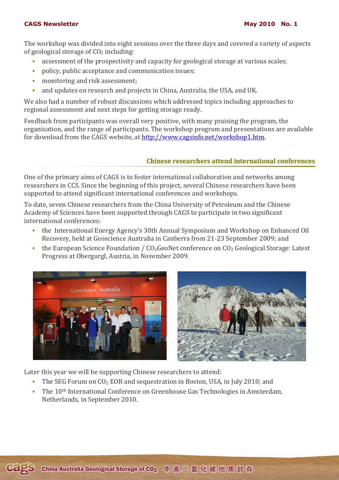#### **CAGS Newsletter May 2010 No. 1 May 2010 No. 1**

The workshop was divided into eight sessions over the three days and covered a variety of aspects of geological storage of  $CO<sub>2</sub>$  including:

- assessment of the prospectivity and capacity for geological storage at various scales;
- policy, public acceptance and communication issues;
- **monitoring and risk assessment;**
- and updates on research and projects in China, Australia, the USA, and UK.

We also had a number of robust discussions which addressed topics including approaches to regional assessment and next steps for getting storage ready.

Feedback from participants was overall very positive, with many praising the program, the organisation, and the range of participants. The workshop program and presentations are available for download from the CAGS website, at http://www.cagsinfo.net/workshop1.htm.

#### **Chinese researchers attend international conferences**

One of the primary aims of CAGS is to foster international collaboration and networks among researchers in CCS. Since the beginning of this project, several Chinese researchers have been supported to attend significant international conferences and workshops.

To date, seven Chinese researchers from the China University of Petroleum and the Chinese Academy of Sciences have been supported through CAGS to participate in two significant international conferences:

- the International Energy Agency's 30th Annual Symposium and Workshop on Enhanced Oil Recovery, held at Geoscience Australia in Canberra from 21-23 September 2009; and
- the European Science Foundation /  $CO<sub>2</sub>Geon$  Conference on  $CO<sub>2</sub>$  Geological Storage: Latest Progress at Obergurgl, Austria, in November 2009.





Later this year we will be supporting Chinese researchers to attend:

- The SEG Forum on  $CO<sub>2</sub> EOR$  and sequestration in Boston, USA, in July 2010; and
- The 10<sup>th</sup> International Conference on Greenhouse Gas Technologies in Amsterdam, Netherlands, in September 2010.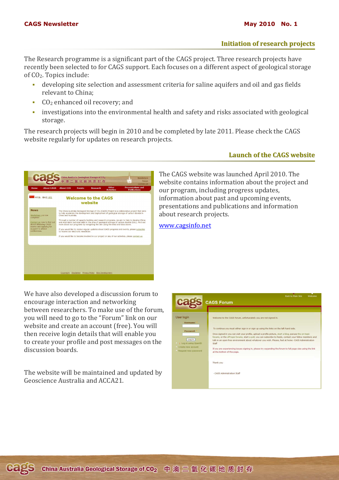### **Initiation of research projects**

The Research programme is a significant part of the CAGS project. Three research projects have recently been selected to for CAGS support. Each focuses on a different aspect of geological storage of CO2. Topics include:

- developing site selection and assessment criteria for saline aquifers and oil and gas fields relevant to China;
- CO<sub>2</sub> enhanced oil recovery; and
- investigations into the environmental health and safety and risks associated with geological storage.

The research projects will begin in 2010 and be completed by late 2011. Please check the CAGS website regularly for updates on research projects.

## **Launch of the CAGS website**

澳二氧化碳地质封存 Events **Welcome to the CAGS** website The China Australia Geological Storage of CO<sub>3</sub> (CAGS) Project is a c<br>to help accelerate the development and deployment of geological si<br>China and Australia. If you would like to receive regular updates about CAGS progress and events, please<br>to receive our electronic newsletter. If you would like to become involved in our project or any of our activities, please contact us

The CAGS website was launched April 2010. The website contains information about the project and our program, including progress updates, information about past and upcoming events, presentations and publications and information about research projects.

www.cagsinfo.net

We have also developed a discussion forum to encourage interaction and networking between researchers. To make use of the forum, you will need to go to the "Forum" link on our website and create an account (free). You will then receive login details that will enable you to create your profile and post messages on the discussion boards.

The website will be maintained and updated by Geoscience Australia and ACCA21.

|                                                                                             | <b>Back to Main Site</b><br>Welcome<br><b>CAGS Forum</b>                                                                                                                                                                                                                                                                                                                                                                                                                                                                                                                                                       |
|---------------------------------------------------------------------------------------------|----------------------------------------------------------------------------------------------------------------------------------------------------------------------------------------------------------------------------------------------------------------------------------------------------------------------------------------------------------------------------------------------------------------------------------------------------------------------------------------------------------------------------------------------------------------------------------------------------------------|
| User login<br>Username:<br>Password:<br>Log in<br>Log in using OpenID<br>Create new account | Welcome to the CAGS Forum, unfortunately you are not signed in.<br>To continue you must either sign in or sign up using the links on the left hand side.<br>Once signed in you can visit your profile, upload a profile picture, start a blog, peruse the on topic<br>forums, or the off topic forums, start a poll, you can subscribe to feeds, contact your fellow members and<br>talk in an open free environment about whatever you wish. Please, feel at home -CAGS Administration<br>Staff<br>If you are experiencing issues signing in, please try expanding the forum to full page size using the link |
| Request new password                                                                        | at the bottom of the page.<br>Thank you<br>- CAGS Administration Staff                                                                                                                                                                                                                                                                                                                                                                                                                                                                                                                                         |